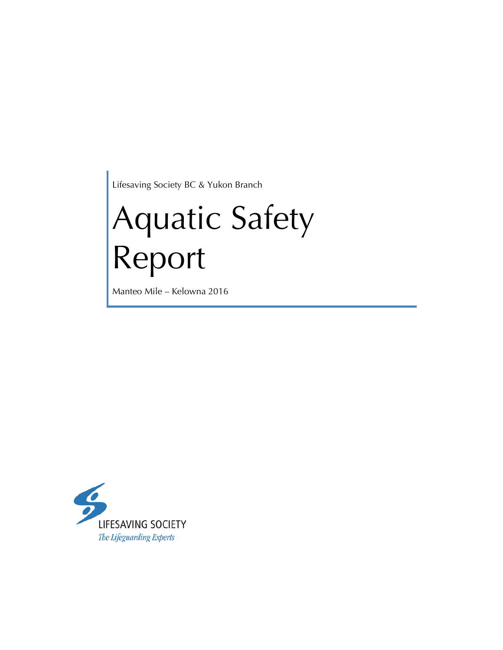Lifesaving Society BC & Yukon Branch

# Aquatic Safety Report

Manteo Mile – Kelowna 2016

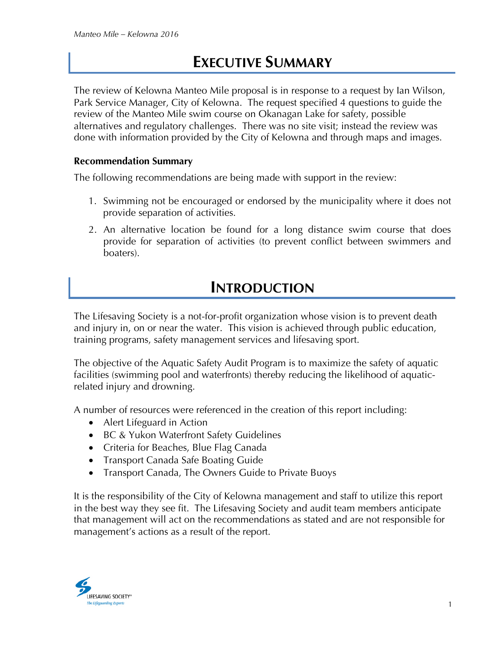# **EXECUTIVE SUMMARY**

The review of Kelowna Manteo Mile proposal is in response to a request by Ian Wilson, Park Service Manager, City of Kelowna. The request specified 4 questions to guide the review of the Manteo Mile swim course on Okanagan Lake for safety, possible alternatives and regulatory challenges. There was no site visit; instead the review was done with information provided by the City of Kelowna and through maps and images.

#### **Recommendation Summary**

The following recommendations are being made with support in the review:

- 1. Swimming not be encouraged or endorsed by the municipality where it does not provide separation of activities.
- 2. An alternative location be found for a long distance swim course that does provide for separation of activities (to prevent conflict between swimmers and boaters).

### **INTRODUCTION**

The Lifesaving Society is a not-for-profit organization whose vision is to prevent death and injury in, on or near the water. This vision is achieved through public education, training programs, safety management services and lifesaving sport.

The objective of the Aquatic Safety Audit Program is to maximize the safety of aquatic facilities (swimming pool and waterfronts) thereby reducing the likelihood of aquaticrelated injury and drowning.

A number of resources were referenced in the creation of this report including:

- Alert Lifeguard in Action
- BC & Yukon Waterfront Safety Guidelines
- Criteria for Beaches, Blue Flag Canada
- Transport Canada Safe Boating Guide
- Transport Canada, The Owners Guide to Private Buoys

It is the responsibility of the City of Kelowna management and staff to utilize this report in the best way they see fit. The Lifesaving Society and audit team members anticipate that management will act on the recommendations as stated and are not responsible for management's actions as a result of the report.

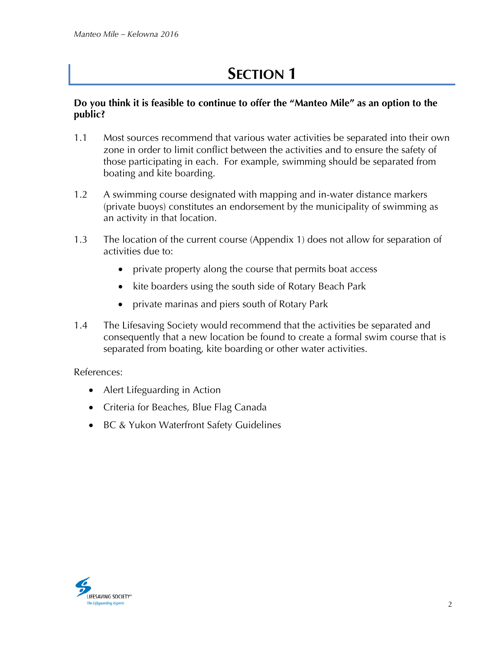#### **Do you think it is feasible to continue to offer the "Manteo Mile" as an option to the public?**

- 1.1 Most sources recommend that various water activities be separated into their own zone in order to limit conflict between the activities and to ensure the safety of those participating in each. For example, swimming should be separated from boating and kite boarding.
- 1.2 A swimming course designated with mapping and in-water distance markers (private buoys) constitutes an endorsement by the municipality of swimming as an activity in that location.
- 1.3 The location of the current course (Appendix 1) does not allow for separation of activities due to:
	- private property along the course that permits boat access
	- kite boarders using the south side of Rotary Beach Park
	- private marinas and piers south of Rotary Park
- 1.4 The Lifesaving Society would recommend that the activities be separated and consequently that a new location be found to create a formal swim course that is separated from boating, kite boarding or other water activities.

- Alert Lifeguarding in Action
- Criteria for Beaches, Blue Flag Canada
- BC & Yukon Waterfront Safety Guidelines

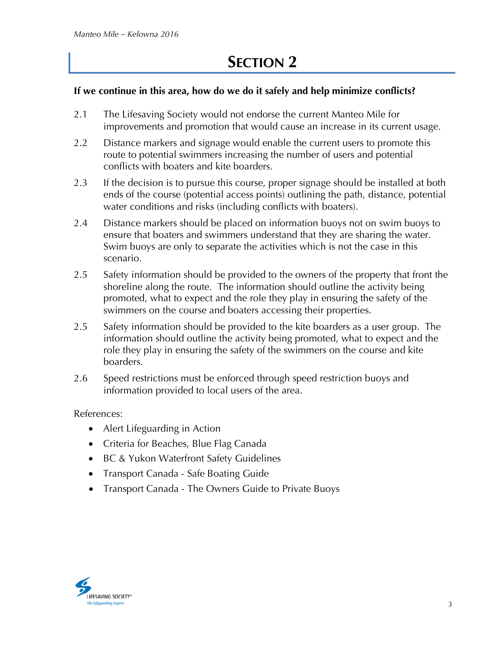#### **If we continue in this area, how do we do it safely and help minimize conflicts?**

- 2.1 The Lifesaving Society would not endorse the current Manteo Mile for improvements and promotion that would cause an increase in its current usage.
- 2.2 Distance markers and signage would enable the current users to promote this route to potential swimmers increasing the number of users and potential conflicts with boaters and kite boarders.
- 2.3 If the decision is to pursue this course, proper signage should be installed at both ends of the course (potential access points) outlining the path, distance, potential water conditions and risks (including conflicts with boaters).
- 2.4 Distance markers should be placed on information buoys not on swim buoys to ensure that boaters and swimmers understand that they are sharing the water. Swim buoys are only to separate the activities which is not the case in this scenario.
- 2.5 Safety information should be provided to the owners of the property that front the shoreline along the route. The information should outline the activity being promoted, what to expect and the role they play in ensuring the safety of the swimmers on the course and boaters accessing their properties.
- 2.5 Safety information should be provided to the kite boarders as a user group. The information should outline the activity being promoted, what to expect and the role they play in ensuring the safety of the swimmers on the course and kite boarders.
- 2.6 Speed restrictions must be enforced through speed restriction buoys and information provided to local users of the area.

- Alert Lifeguarding in Action
- Criteria for Beaches, Blue Flag Canada
- BC & Yukon Waterfront Safety Guidelines
- Transport Canada Safe Boating Guide
- Transport Canada The Owners Guide to Private Buoys

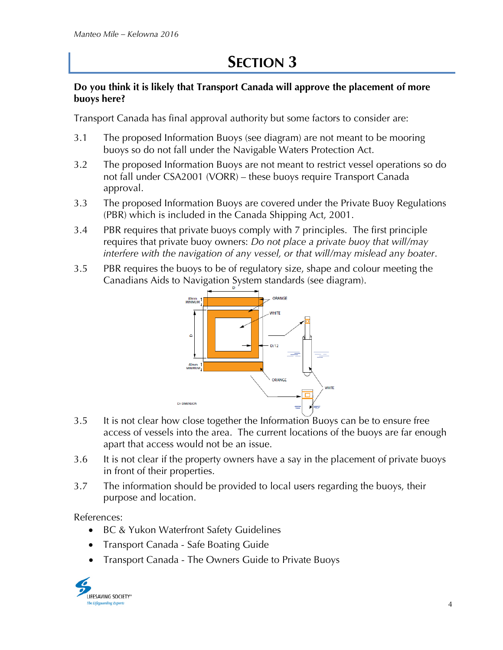#### **Do you think it is likely that Transport Canada will approve the placement of more buoys here?**

Transport Canada has final approval authority but some factors to consider are:

- 3.1 The proposed Information Buoys (see diagram) are not meant to be mooring buoys so do not fall under the Navigable Waters Protection Act.
- 3.2 The proposed Information Buoys are not meant to restrict vessel operations so do not fall under CSA2001 (VORR) – these buoys require Transport Canada approval.
- 3.3 The proposed Information Buoys are covered under the Private Buoy Regulations (PBR) which is included in the Canada Shipping Act, 2001.
- 3.4 PBR requires that private buoys comply with 7 principles. The first principle requires that private buoy owners: *Do not place a private buoy that will/may interfere with the navigation of any vessel, or that will/may mislead any boater*.
- 3.5 PBR requires the buoys to be of regulatory size, shape and colour meeting the Canadians Aids to Navigation System standards (see diagram).



- 3.5 It is not clear how close together the Information Buoys can be to ensure free access of vessels into the area. The current locations of the buoys are far enough apart that access would not be an issue.
- 3.6 It is not clear if the property owners have a say in the placement of private buoys in front of their properties.
- 3.7 The information should be provided to local users regarding the buoys, their purpose and location.

- BC & Yukon Waterfront Safety Guidelines
- Transport Canada Safe Boating Guide
- Transport Canada The Owners Guide to Private Buoys

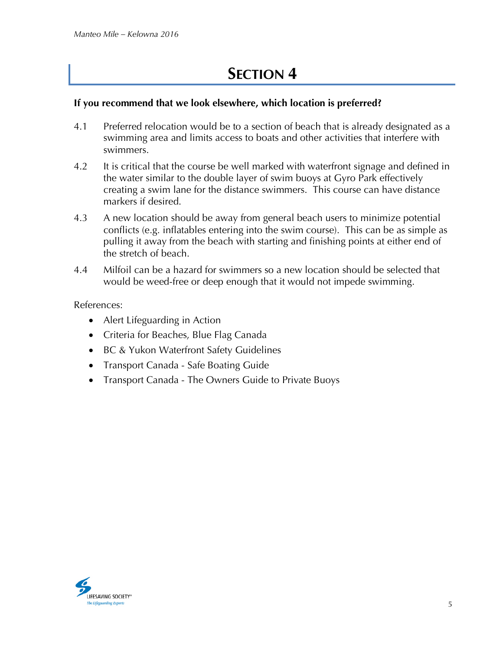#### **If you recommend that we look elsewhere, which location is preferred?**

- 4.1 Preferred relocation would be to a section of beach that is already designated as a swimming area and limits access to boats and other activities that interfere with swimmers.
- 4.2 It is critical that the course be well marked with waterfront signage and defined in the water similar to the double layer of swim buoys at Gyro Park effectively creating a swim lane for the distance swimmers. This course can have distance markers if desired.
- 4.3 A new location should be away from general beach users to minimize potential conflicts (e.g. inflatables entering into the swim course). This can be as simple as pulling it away from the beach with starting and finishing points at either end of the stretch of beach.
- 4.4 Milfoil can be a hazard for swimmers so a new location should be selected that would be weed-free or deep enough that it would not impede swimming.

- Alert Lifeguarding in Action
- Criteria for Beaches, Blue Flag Canada
- BC & Yukon Waterfront Safety Guidelines
- Transport Canada Safe Boating Guide
- Transport Canada The Owners Guide to Private Buoys